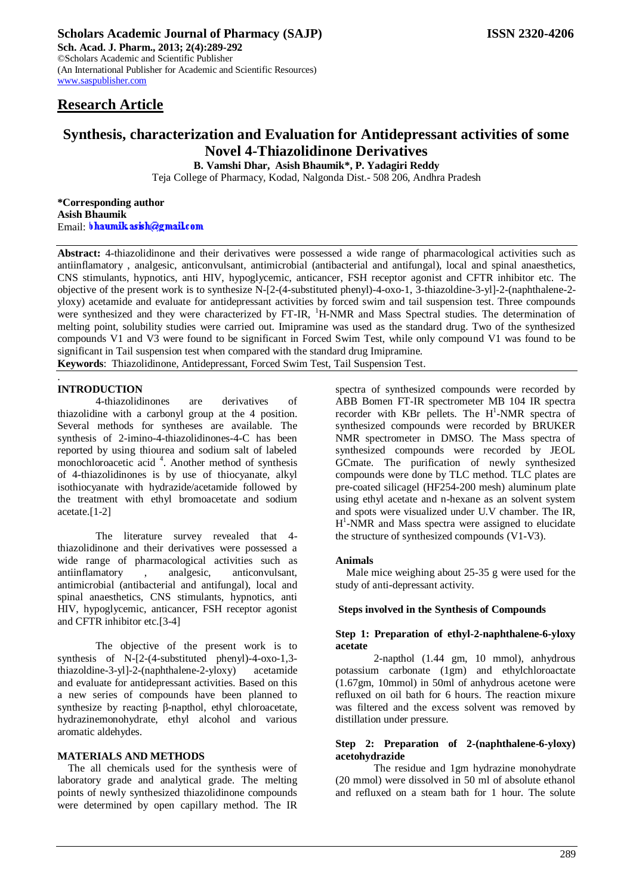# **Research Article**

# **Synthesis, characterization and Evaluation for Antidepressant activities of some Novel 4-Thiazolidinone Derivatives**

**B. Vamshi Dhar, Asish Bhaumik\*, P. Yadagiri Reddy**

Teja College of Pharmacy*,* Kodad*,* Nalgonda Dist.- 508 206, Andhra Pradesh

**\*Corresponding author Asish Bhaumik** Email: bhaumik as ish@gmail.com

**Abstract:** 4-thiazolidinone and their derivatives were possessed a wide range of pharmacological activities such as antiinflamatory , analgesic, anticonvulsant, antimicrobial (antibacterial and antifungal), local and spinal anaesthetics, CNS stimulants, hypnotics, anti HIV, hypoglycemic, anticancer, FSH receptor agonist and CFTR inhibitor etc. The objective of the present work is to synthesize N-[2-(4-substituted phenyl)-4-oxo-1, 3-thiazoldine-3-yl]-2-(naphthalene-2 yloxy) acetamide and evaluate for antidepressant activities by forced swim and tail suspension test. Three compounds were synthesized and they were characterized by FT-IR, <sup>1</sup>H-NMR and Mass Spectral studies. The determination of melting point, solubility studies were carried out. Imipramine was used as the standard drug. Two of the synthesized compounds V1 and V3 were found to be significant in Forced Swim Test, while only compound V1 was found to be significant in Tail suspension test when compared with the standard drug Imipramine. **Keywords**: Thiazolidinone, Antidepressant, Forced Swim Test, Tail Suspension Test.

#### . **INTRODUCTION**

4-thiazolidinones are derivatives of thiazolidine with a carbonyl group at the 4 position. Several methods for syntheses are available. The synthesis of 2-imino-4-thiazolidinones-4-C has been reported by using thiourea and sodium salt of labeled monochloroacetic acid<sup>4</sup>. Another method of synthesis of 4-thiazolidinones is by use of thiocyanate, alkyl isothiocyanate with hydrazide/acetamide followed by the treatment with ethyl bromoacetate and sodium acetate.[1-2]

The literature survey revealed that 4 thiazolidinone and their derivatives were possessed a wide range of pharmacological activities such as antiinflamatory , analgesic, anticonvulsant, antimicrobial (antibacterial and antifungal), local and spinal anaesthetics, CNS stimulants, hypnotics, anti HIV, hypoglycemic, anticancer, FSH receptor agonist and CFTR inhibitor etc.[3-4]

The objective of the present work is to synthesis of N-[2-(4-substituted phenyl)-4-oxo-1,3 thiazoldine-3-yl]-2-(naphthalene-2-yloxy) acetamide and evaluate for antidepressant activities. Based on this a new series of compounds have been planned to synthesize by reacting β-napthol, ethyl chloroacetate, hydrazinemonohydrate, ethyl alcohol and various aromatic aldehydes.

#### **MATERIALS AND METHODS**

The all chemicals used for the synthesis were of laboratory grade and analytical grade. The melting points of newly synthesized thiazolidinone compounds were determined by open capillary method. The IR

spectra of synthesized compounds were recorded by ABB Bomen FT-IR spectrometer MB 104 IR spectra recorder with KBr pellets. The  $H^1$ -NMR spectra of synthesized compounds were recorded by BRUKER NMR spectrometer in DMSO. The Mass spectra of synthesized compounds were recorded by JEOL GCmate. The purification of newly synthesized compounds were done by TLC method. TLC plates are pre-coated silicagel (HF254-200 mesh) aluminum plate using ethyl acetate and n-hexane as an solvent system and spots were visualized under U.V chamber. The IR, H<sup>1</sup>-NMR and Mass spectra were assigned to elucidate the structure of synthesized compounds (V1-V3).

### **Animals**

Male mice weighing about 25-35 g were used for the study of anti-depressant activity.

#### **Steps involved in the Synthesis of Compounds**

#### **Step 1: Preparation of ethyl-2-naphthalene-6-yloxy acetate**

2-napthol (1.44 gm, 10 mmol), anhydrous potassium carbonate (1gm) and ethylchloroactate (1.67gm, 10mmol) in 50ml of anhydrous acetone were refluxed on oil bath for 6 hours. The reaction mixure was filtered and the excess solvent was removed by distillation under pressure.

#### **Step 2: Preparation of 2-(naphthalene-6-yloxy) acetohydrazide**

The residue and 1gm hydrazine monohydrate (20 mmol) were dissolved in 50 ml of absolute ethanol and refluxed on a steam bath for 1 hour. The solute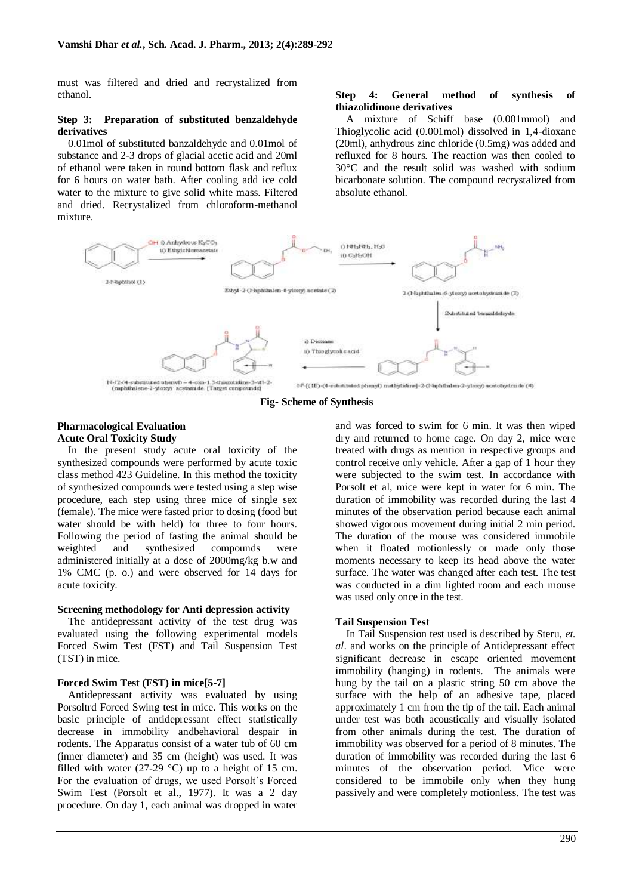must was filtered and dried and recrystalized from ethanol.

#### **Step 3: Preparation of substituted benzaldehyde derivatives**

0.01mol of substituted banzaldehyde and 0.01mol of substance and 2-3 drops of glacial acetic acid and 20ml of ethanol were taken in round bottom flask and reflux for 6 hours on water bath. After cooling add ice cold water to the mixture to give solid white mass. Filtered and dried. Recrystalized from chloroform-methanol mixture.

#### **Step 4: General method of synthesis of thiazolidinone derivatives**

A mixture of Schiff base (0.001mmol) and Thioglycolic acid (0.001mol) dissolved in 1,4-dioxane (20ml), anhydrous zinc chloride (0.5mg) was added and refluxed for 8 hours. The reaction was then cooled to 30°C and the result solid was washed with sodium bicarbonate solution. The compound recrystalized from absolute ethanol.



**Fig- Scheme of Synthesis**

#### **Pharmacological Evaluation Acute Oral Toxicity Study**

In the present study acute oral toxicity of the synthesized compounds were performed by acute toxic class method 423 Guideline. In this method the toxicity of synthesized compounds were tested using a step wise procedure, each step using three mice of single sex (female). The mice were fasted prior to dosing (food but water should be with held) for three to four hours. Following the period of fasting the animal should be weighted and synthesized compounds were administered initially at a dose of 2000mg/kg b.w and 1% CMC (p. o.) and were observed for 14 days for acute toxicity.

#### **Screening methodology for Anti depression activity**

The antidepressant activity of the test drug was evaluated using the following experimental models Forced Swim Test (FST) and Tail Suspension Test (TST) in mice.

#### **Forced Swim Test (FST) in mice[5-7]**

Antidepressant activity was evaluated by using Porsoltrd Forced Swing test in mice. This works on the basic principle of antidepressant effect statistically decrease in immobility andbehavioral despair in rodents. The Apparatus consist of a water tub of 60 cm (inner diameter) and 35 cm (height) was used. It was filled with water (27-29 °C) up to a height of 15 cm. For the evaluation of drugs, we used Porsolt's Forced Swim Test (Porsolt et al., 1977). It was a 2 day procedure. On day 1, each animal was dropped in water

and was forced to swim for 6 min. It was then wiped dry and returned to home cage. On day 2, mice were treated with drugs as mention in respective groups and control receive only vehicle. After a gap of 1 hour they were subjected to the swim test. In accordance with Porsolt et al, mice were kept in water for 6 min. The duration of immobility was recorded during the last 4 minutes of the observation period because each animal showed vigorous movement during initial 2 min period. The duration of the mouse was considered immobile when it floated motionlessly or made only those moments necessary to keep its head above the water surface. The water was changed after each test. The test was conducted in a dim lighted room and each mouse was used only once in the test.

#### **Tail Suspension Test**

In Tail Suspension test used is described by Steru, *et. al*. and works on the principle of Antidepressant effect significant decrease in escape oriented movement immobility (hanging) in rodents. The animals were hung by the tail on a plastic string 50 cm above the surface with the help of an adhesive tape, placed approximately 1 cm from the tip of the tail. Each animal under test was both acoustically and visually isolated from other animals during the test. The duration of immobility was observed for a period of 8 minutes. The duration of immobility was recorded during the last 6 minutes of the observation period. Mice were considered to be immobile only when they hung passively and were completely motionless. The test was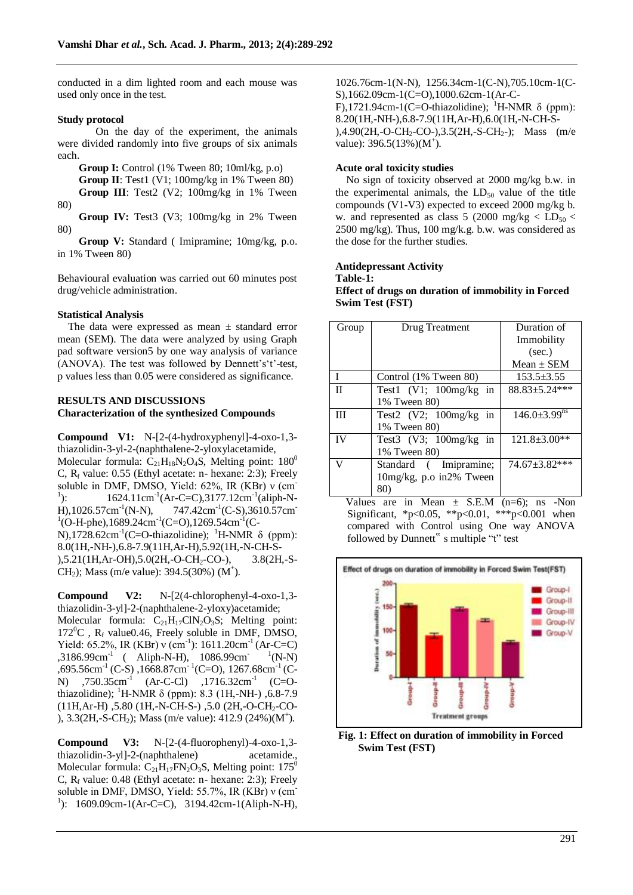conducted in a dim lighted room and each mouse was used only once in the test.

#### **Study protocol**

On the day of the experiment, the animals were divided randomly into five groups of six animals each.

**Group I:** Control (1% Tween 80; 10ml/kg, p.o)

- **Group II**: Test1 (V1; 100mg/kg in 1% Tween 80) Group III: Test2 (V2; 100mg/kg in 1% Tween
- 80)

**Group IV:** Test3 (V3; 100mg/kg in 2% Tween 80)

**Group V:** Standard ( Imipramine; 10mg/kg, p.o. in 1% Tween 80)

Behavioural evaluation was carried out 60 minutes post drug/vehicle administration.

#### **Statistical Analysis**

The data were expressed as mean  $\pm$  standard error mean (SEM). The data were analyzed by using Graph pad software version5 by one way analysis of variance  $(ANOVA)$ . The test was followed by Dennett's 't'-test, p values less than 0.05 were considered as significance.

## **RESULTS AND DISCUSSIONS Characterization of the synthesized Compounds**

**Compound V1:** N-[2-(4-hydroxyphenyl]-4-oxo-1,3 thiazolidin-3-yl-2-(naphthalene-2-yloxylacetamide, Molecular formula:  $C_{21}H_{18}N_2O_4S$ , Melting point: 180<sup>0</sup> C,  $R_f$  value: 0.55 (Ethyl acetate: n- hexane: 2:3); Freely soluble in DMF, DMSO, Yield: 62%, IR (KBr) ν (cm- $^{1}$ ):  $\therefore$  1624.11cm<sup>-1</sup>(Ar-C=C),3177.12cm<sup>-1</sup>(aliph-N-H),1026.57cm<sup>-1</sup>(N-N),  $(N-N)$ , 747.42cm<sup>-1</sup>(C-S),3610.57cm<sup>-1</sup>  ${}^{1}$ (O-H-phe),1689.24cm<sup>-1</sup>(C=O),1269.54cm<sup>-1</sup>(C-N),1728.62cm<sup>-1</sup>(C=O-thiazolidine); <sup>1</sup>H-NMR δ (ppm): 8.0(1H,-NH-),6.8-7.9(11H,Ar-H),5.92(1H,-N-CH-S- ),5.21(1H,Ar-OH),5.0(2H,-O-CH2-CO-), 3.8(2H,-S-CH<sub>2</sub>); Mass (m/e value): 394.5(30%) (M<sup>+</sup>).

**Compound V2:** N-[2(4-chlorophenyl-4-oxo-1,3 thiazolidin-3-yl]-2-(naphthalene-2-yloxy)acetamide; Molecular formula:  $C_{21}H_{17}CIN_2O_3S$ ; Melting point:  $172^0C$ , R<sub>f</sub> value0.46, Freely soluble in DMF, DMSO, Yield: 65.2%, IR (KBr) v (cm<sup>-1</sup>): 1611.20cm<sup>-1</sup> (Ar-C=C) ,3186.99cm-1 ( Aliph-N-H), 1086.99cm- 1  ${}^{1}$ (N-N)  $,695.56$ cm<sup>-1</sup> (C-S),  $1668.87$ cm<sup>-1</sup> (C=O),  $1267.68$ cm<sup>-1</sup> (C-N)  $750.35cm^{-1}$  (Ar-C-Cl)  $1716.32cm^{-1}$  (C=Othiazolidine); <sup>1</sup>H-NMR δ (ppm): 8.3 (1H,-NH-), 6.8-7.9  $(11H, Ar-H)$ , 5.80 (1H,-N-CH-S-), 5.0 (2H,-O-CH<sub>2</sub>-CO-), 3.3(2H,-S-CH<sub>2</sub>); Mass (m/e value): 412.9 (24%)(M<sup>+</sup>).

**Compound V3:** N-[2-(4-fluorophenyl)-4-oxo-1,3 thiazolidin-3-yl]-2-(naphthalene) acetamide., Molecular formula:  $C_{21}H_{17}FN_{2}O_{3}S$ , Melting point: 175<sup>0</sup> C,  $R_f$  value: 0.48 (Ethyl acetate: n- hexane: 2:3); Freely soluble in DMF, DMSO, Yield: 55.7%, IR (KBr) ν (cm-<sup>1</sup>): 1609.09cm-1(Ar-C=C), 3194.42cm-1(Aliph-N-H), 1026.76cm-1(N-N), 1256.34cm-1(C-N),705.10cm-1(C-S),1662.09cm-1(C=O),1000.62cm-1(Ar-C-F),1721.94cm-1(C=O-thiazolidine); <sup>1</sup>H-NMR  $\delta$  (ppm): 8.20(1H,-NH-),6.8-7.9(11H,Ar-H),6.0(1H,-N-CH-S- ),4.90(2H,-O-CH<sub>2</sub>-CO-),3.5(2H,-S-CH<sub>2</sub>-); Mass (m/e value):  $396.5(13%) (M^{\dagger})$ .

#### **Acute oral toxicity studies**

No sign of toxicity observed at 2000 mg/kg b.w. in the experimental animals, the  $LD_{50}$  value of the title compounds (V1-V3) expected to exceed 2000 mg/kg b. w. and represented as class 5 (2000 mg/kg  $\lt$  LD<sub>50</sub>  $\lt$  $2500$  mg/kg). Thus, 100 mg/k.g. b.w. was considered as the dose for the further studies.

## **Antidepressant Activity**

**Table-1: Effect of drugs on duration of immobility in Forced Swim Test (FST)**

| Group | Drug Treatment           | Duration of                    |
|-------|--------------------------|--------------------------------|
|       |                          | Immobility                     |
|       |                          | (sec.)                         |
|       |                          | $Mean \pm SEM$                 |
| T     | Control (1% Tween 80)    | $153.5 \pm 3.55$               |
| П     | Test1 $(V1; 100mg/kg$ in | $88.83 + 5.24***$              |
|       | 1% Tween 80)             |                                |
| Ш     | Test2 $(V2; 100mg/kg$ in | $146.0 \pm 3.99$ <sup>ns</sup> |
|       | 1% Tween 80)             |                                |
| IV    | Test3 $(V3; 100mg/kg$ in | $121.8 \pm 3.00**$             |
|       | 1% Tween 80)             |                                |
| V     | Standard (Imipramine;    | $74.67 + 3.82$ ***             |
|       | 10mg/kg, p.o in2% Tween  |                                |
|       | 80)                      |                                |

Values are in Mean  $\pm$  S.E.M (n=6); ns -Non Significant, \*p<0.05, \*\*p<0.01, \*\*\*p<0.001 when compared with Control using One way ANOVA followed by Dunnett" s multiple "t" test



**Fig. 1: Effect on duration of immobility in Forced Swim Test (FST)**